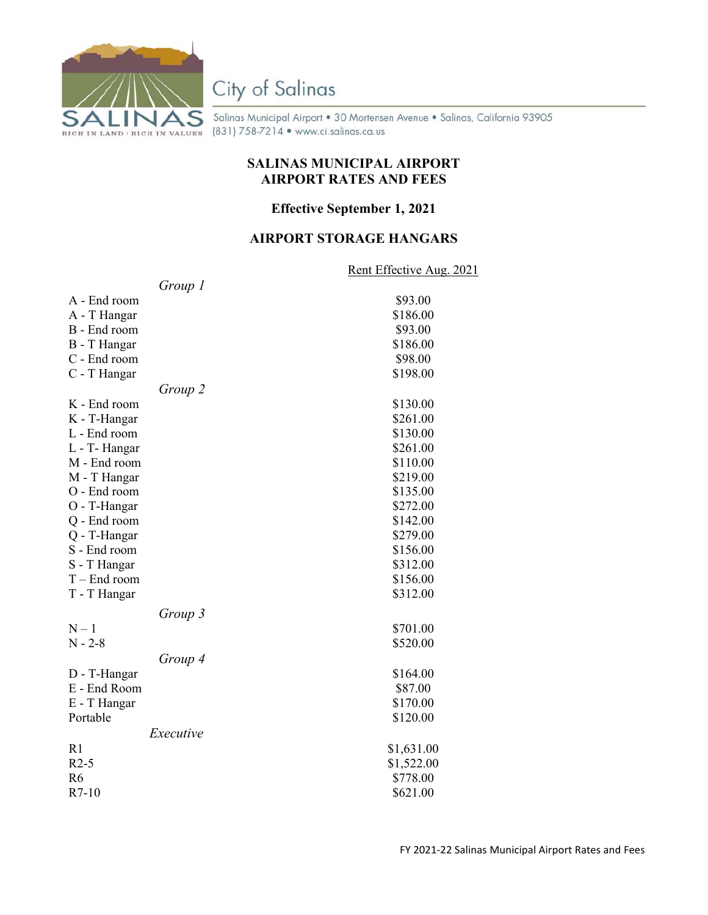

# City of Salinas

Salinas Municipal Airport • 30 Mortensen Avenue • Salinas, California 93905 (831) 758-7214 • www.ci.salinas.ca.us

#### **SALINAS MUNICIPAL AIRPORT AIRPORT RATES AND FEES**

#### **Effective September 1, 2021**

#### **AIRPORT STORAGE HANGARS**

Rent Effective Aug. 2021

|                | Group 1   |            |
|----------------|-----------|------------|
| A - End room   |           | \$93.00    |
| A - T Hangar   |           | \$186.00   |
| B - End room   |           | \$93.00    |
| B - T Hangar   |           | \$186.00   |
| C - End room   |           | \$98.00    |
| C - T Hangar   |           | \$198.00   |
|                | Group 2   |            |
| K - End room   |           | \$130.00   |
| K - T-Hangar   |           | \$261.00   |
| L - End room   |           | \$130.00   |
| L - T- Hangar  |           | \$261.00   |
| M - End room   |           | \$110.00   |
| M - T Hangar   |           | \$219.00   |
| O - End room   |           | \$135.00   |
| O - T-Hangar   |           | \$272.00   |
| Q - End room   |           | \$142.00   |
| Q - T-Hangar   |           | \$279.00   |
| S - End room   |           | \$156.00   |
| S - T Hangar   |           | \$312.00   |
| $T -$ End room |           | \$156.00   |
| T - T Hangar   |           | \$312.00   |
|                | Group 3   |            |
| $N-1$          |           | \$701.00   |
| $N - 2 - 8$    |           | \$520.00   |
|                | Group 4   |            |
| D - T-Hangar   |           | \$164.00   |
| E - End Room   |           | \$87.00    |
| E - T Hangar   |           | \$170.00   |
| Portable       |           | \$120.00   |
|                | Executive |            |
| R1             |           | \$1,631.00 |
| $R2-5$         |           | \$1,522.00 |
| R <sub>6</sub> |           | \$778.00   |
| $R7-10$        |           | \$621.00   |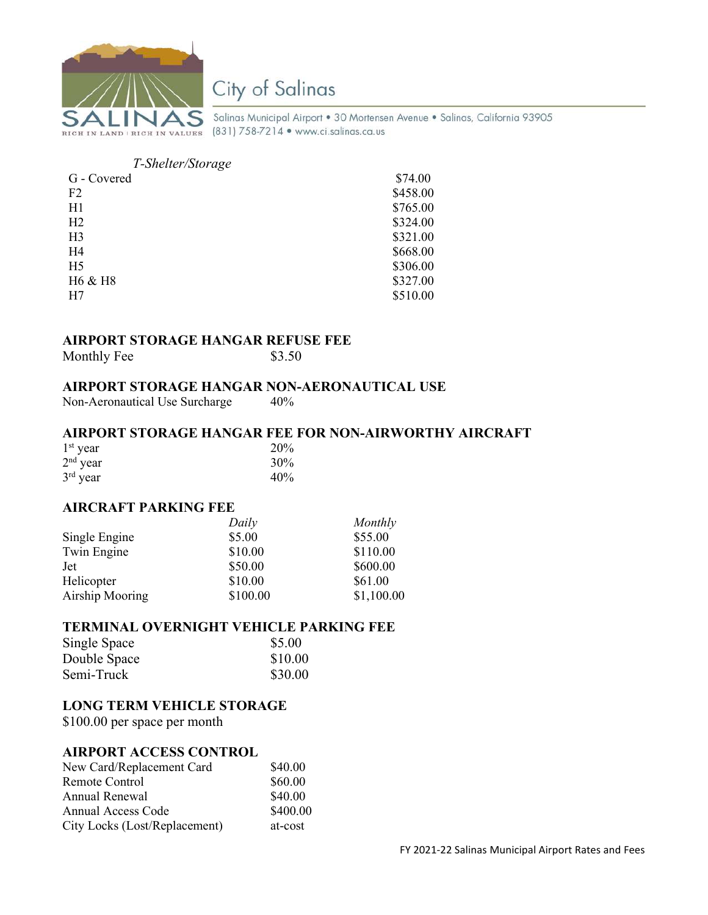

## City of Salinas

Salinas Municipal Airport • 30 Mortensen Avenue • Salinas, California 93905

### *T-Shelter/Storage*

| G - Covered    | \$74.00  |
|----------------|----------|
| F2             | \$458.00 |
| H1             | \$765.00 |
| H2             | \$324.00 |
| H <sub>3</sub> | \$321.00 |
| H4             | \$668.00 |
| H <sub>5</sub> | \$306.00 |
| H6 & H8        | \$327.00 |
| H7             | \$510.00 |

#### **AIRPORT STORAGE HANGAR REFUSE FEE**

| Monthly Fee | \$3.50 |
|-------------|--------|
|-------------|--------|

#### **AIRPORT STORAGE HANGAR NON-AERONAUTICAL USE**

Non-Aeronautical Use Surcharge 40%

#### **AIRPORT STORAGE HANGAR FEE FOR NON-AIRWORTHY AIRCRAFT**

| $1st$ year | 20% |
|------------|-----|
| $2nd$ year | 30% |
| $3rd$ year | 40% |

#### **AIRCRAFT PARKING FEE**

|                 | Daily    | Monthly    |
|-----------------|----------|------------|
| Single Engine   | \$5.00   | \$55.00    |
| Twin Engine     | \$10.00  | \$110.00   |
| Jet             | \$50.00  | \$600.00   |
| Helicopter      | \$10.00  | \$61.00    |
| Airship Mooring | \$100.00 | \$1,100.00 |

#### **TERMINAL OVERNIGHT VEHICLE PARKING FEE**

| Single Space | \$5.00  |
|--------------|---------|
| Double Space | \$10.00 |
| Semi-Truck   | \$30.00 |

#### **LONG TERM VEHICLE STORAGE**

\$100.00 per space per month

#### **AIRPORT ACCESS CONTROL**

| New Card/Replacement Card     | \$40.00  |
|-------------------------------|----------|
| Remote Control                | \$60.00  |
| Annual Renewal                | \$40.00  |
| Annual Access Code            | \$400.00 |
| City Locks (Lost/Replacement) | at-cost  |